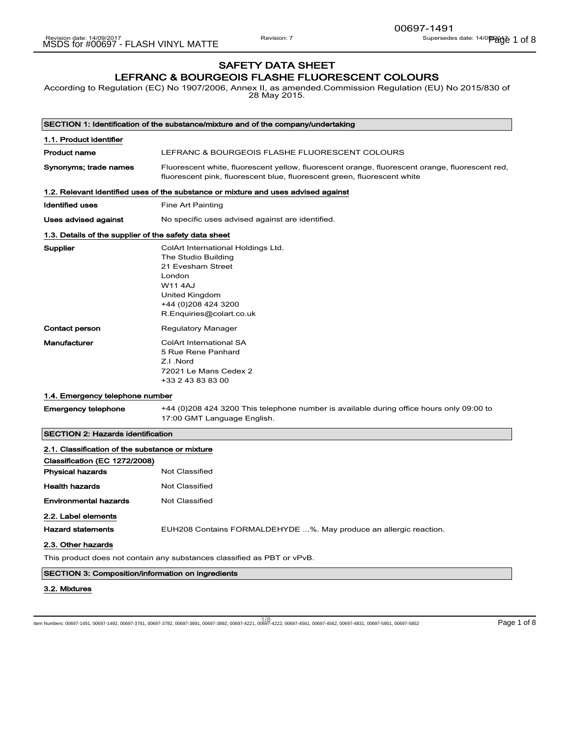### SAFETY DATA SHEET LEFRANC & BOURGEOIS FLASHE FLUORESCENT COLOURS

According to Regulation (EC) No 1907/2006, Annex II, as amended.Commission Regulation (EU) No 2015/830 of 28 May 2015.

|                                                                         | SECTION 1: Identification of the substance/mixture and of the company/undertaking                                                                                               |
|-------------------------------------------------------------------------|---------------------------------------------------------------------------------------------------------------------------------------------------------------------------------|
| 1.1. Product identifier                                                 |                                                                                                                                                                                 |
| <b>Product name</b>                                                     | LEFRANC & BOURGEOIS FLASHE FLUORESCENT COLOURS                                                                                                                                  |
| Synonyms; trade names                                                   | Fluorescent white, fluorescent yellow, fluorescent orange, fluorescent orange, fluorescent red,<br>fluorescent pink, fluorescent blue, fluorescent green, fluorescent white     |
|                                                                         | 1.2. Relevant identified uses of the substance or mixture and uses advised against                                                                                              |
| <b>Identified uses</b>                                                  | Fine Art Painting                                                                                                                                                               |
| Uses advised against                                                    | No specific uses advised against are identified.                                                                                                                                |
| 1.3. Details of the supplier of the safety data sheet                   |                                                                                                                                                                                 |
| Supplier                                                                | ColArt International Holdings Ltd.<br>The Studio Building<br>21 Evesham Street<br>London<br><b>W11 4AJ</b><br>United Kingdom<br>+44 (0)208 424 3200<br>R.Enquiries@colart.co.uk |
| <b>Contact person</b>                                                   | <b>Regulatory Manager</b>                                                                                                                                                       |
| <b>Manufacturer</b>                                                     | <b>ColArt International SA</b><br>5 Rue Rene Panhard<br>Z.I.Nord<br>72021 Le Mans Cedex 2<br>+33 2 43 83 83 00                                                                  |
| 1.4. Emergency telephone number                                         |                                                                                                                                                                                 |
| <b>Emergency telephone</b>                                              | +44 (0) 208 424 3200 This telephone number is available during office hours only 09:00 to<br>17:00 GMT Language English.                                                        |
| <b>SECTION 2: Hazards identification</b>                                |                                                                                                                                                                                 |
| 2.1. Classification of the substance or mixture                         |                                                                                                                                                                                 |
| Classification (EC 1272/2008)                                           |                                                                                                                                                                                 |
| <b>Physical hazards</b>                                                 | <b>Not Classified</b>                                                                                                                                                           |
| <b>Health hazards</b>                                                   | Not Classified                                                                                                                                                                  |
| <b>Environmental hazards</b>                                            | <b>Not Classified</b>                                                                                                                                                           |
| 2.2. Label elements                                                     |                                                                                                                                                                                 |
| <b>Hazard statements</b>                                                | EUH208 Contains FORMALDEHYDE %. May produce an allergic reaction.                                                                                                               |
| 2.3. Other hazards                                                      |                                                                                                                                                                                 |
| This product does not contain any substances classified as PBT or vPvB. |                                                                                                                                                                                 |

SECTION 3: Composition/information on ingredients

#### 3.2. Mixtures

1/ 8 Item Numbers: 00697-1491, 00697-1492, 00697-3781, 00697-3782, 00697-3891, 00697-3892, 00697-4221, 00697-4222, 00697-4561, 00697-4562, 00697-4831, 00697-5851, 00697-5852 Page 1 of 8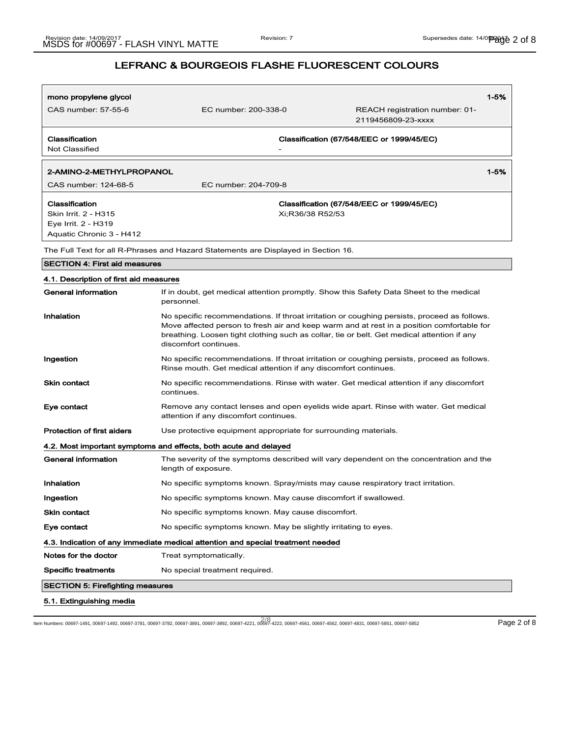| mono propylene glycol                                                                     |                                                                                                                                                                                                                                                                                                                 | $1 - 5%$                                             |
|-------------------------------------------------------------------------------------------|-----------------------------------------------------------------------------------------------------------------------------------------------------------------------------------------------------------------------------------------------------------------------------------------------------------------|------------------------------------------------------|
| CAS number: 57-55-6                                                                       | EC number: 200-338-0                                                                                                                                                                                                                                                                                            | REACH registration number: 01-<br>2119456809-23-xxxx |
| Classification<br>Not Classified                                                          |                                                                                                                                                                                                                                                                                                                 | Classification (67/548/EEC or 1999/45/EC)            |
| 2-AMINO-2-METHYLPROPANOL                                                                  |                                                                                                                                                                                                                                                                                                                 | $1 - 5%$                                             |
| CAS number: 124-68-5                                                                      | EC number: 204-709-8                                                                                                                                                                                                                                                                                            |                                                      |
| Classification<br>Skin Irrit. 2 - H315<br>Eye Irrit. 2 - H319<br>Aquatic Chronic 3 - H412 | Xi:R36/38 R52/53                                                                                                                                                                                                                                                                                                | Classification (67/548/EEC or 1999/45/EC)            |
|                                                                                           | The Full Text for all R-Phrases and Hazard Statements are Displayed in Section 16.                                                                                                                                                                                                                              |                                                      |
| <b>SECTION 4: First aid measures</b>                                                      |                                                                                                                                                                                                                                                                                                                 |                                                      |
| 4.1. Description of first aid measures                                                    |                                                                                                                                                                                                                                                                                                                 |                                                      |
| General information                                                                       | If in doubt, get medical attention promptly. Show this Safety Data Sheet to the medical<br>personnel.                                                                                                                                                                                                           |                                                      |
| Inhalation                                                                                | No specific recommendations. If throat irritation or coughing persists, proceed as follows.<br>Move affected person to fresh air and keep warm and at rest in a position comfortable for<br>breathing. Loosen tight clothing such as collar, tie or belt. Get medical attention if any<br>discomfort continues. |                                                      |
| Ingestion                                                                                 | No specific recommendations. If throat irritation or coughing persists, proceed as follows.<br>Rinse mouth. Get medical attention if any discomfort continues.                                                                                                                                                  |                                                      |
| <b>Skin contact</b>                                                                       | No specific recommendations. Rinse with water. Get medical attention if any discomfort<br>continues.                                                                                                                                                                                                            |                                                      |
| Eye contact                                                                               | Remove any contact lenses and open eyelids wide apart. Rinse with water. Get medical<br>attention if any discomfort continues.                                                                                                                                                                                  |                                                      |
| <b>Protection of first aiders</b>                                                         | Use protective equipment appropriate for surrounding materials.                                                                                                                                                                                                                                                 |                                                      |
|                                                                                           | 4.2. Most important symptoms and effects, both acute and delayed                                                                                                                                                                                                                                                |                                                      |
| General information                                                                       | The severity of the symptoms described will vary dependent on the concentration and the<br>length of exposure.                                                                                                                                                                                                  |                                                      |
| Inhalation                                                                                | No specific symptoms known. Spray/mists may cause respiratory tract irritation.                                                                                                                                                                                                                                 |                                                      |
| Ingestion                                                                                 | No specific symptoms known. May cause discomfort if swallowed.                                                                                                                                                                                                                                                  |                                                      |
| Skin contact                                                                              | No specific symptoms known. May cause discomfort.                                                                                                                                                                                                                                                               |                                                      |
| Eye contact                                                                               | No specific symptoms known. May be slightly irritating to eyes.                                                                                                                                                                                                                                                 |                                                      |
|                                                                                           | 4.3. Indication of any immediate medical attention and special treatment needed                                                                                                                                                                                                                                 |                                                      |
| Notes for the doctor                                                                      | Treat symptomatically.                                                                                                                                                                                                                                                                                          |                                                      |
| <b>Specific treatments</b>                                                                | No special treatment required.                                                                                                                                                                                                                                                                                  |                                                      |
| <b>SECTION 5: Firefighting measures</b>                                                   |                                                                                                                                                                                                                                                                                                                 |                                                      |
| 5.1. Extinguishing media                                                                  |                                                                                                                                                                                                                                                                                                                 |                                                      |

2/ 8 Item Numbers: 00697-1491, 00697-1492, 00697-3781, 00697-3782, 00697-3891, 00697-3892, 00697-4221, 00697-4222, 00697-4561, 00697-4562, 00697-4831, 00697-5851, 00697-5852 Page 2 of 8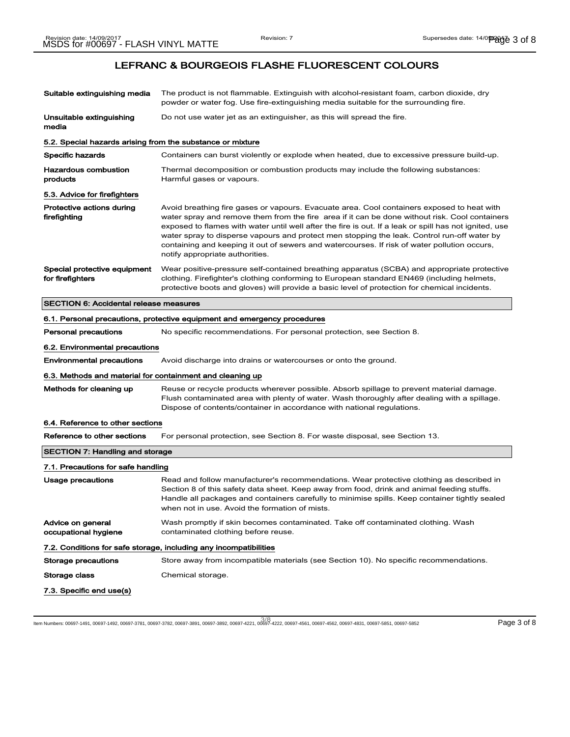| Suitable extinguishing media                               | The product is not flammable. Extinguish with alcohol-resistant foam, carbon dioxide, dry<br>powder or water fog. Use fire-extinguishing media suitable for the surrounding fire.                                                                                                                                                                                                                                                                                                                                                        |  |
|------------------------------------------------------------|------------------------------------------------------------------------------------------------------------------------------------------------------------------------------------------------------------------------------------------------------------------------------------------------------------------------------------------------------------------------------------------------------------------------------------------------------------------------------------------------------------------------------------------|--|
| Unsuitable extinguishing<br>media                          | Do not use water jet as an extinguisher, as this will spread the fire.                                                                                                                                                                                                                                                                                                                                                                                                                                                                   |  |
| 5.2. Special hazards arising from the substance or mixture |                                                                                                                                                                                                                                                                                                                                                                                                                                                                                                                                          |  |
| <b>Specific hazards</b>                                    | Containers can burst violently or explode when heated, due to excessive pressure build-up.                                                                                                                                                                                                                                                                                                                                                                                                                                               |  |
| <b>Hazardous combustion</b><br>products                    | Thermal decomposition or combustion products may include the following substances:<br>Harmful gases or vapours.                                                                                                                                                                                                                                                                                                                                                                                                                          |  |
| 5.3. Advice for firefighters                               |                                                                                                                                                                                                                                                                                                                                                                                                                                                                                                                                          |  |
| Protective actions during<br>firefighting                  | Avoid breathing fire gases or vapours. Evacuate area. Cool containers exposed to heat with<br>water spray and remove them from the fire area if it can be done without risk. Cool containers<br>exposed to flames with water until well after the fire is out. If a leak or spill has not ignited, use<br>water spray to disperse vapours and protect men stopping the leak. Control run-off water by<br>containing and keeping it out of sewers and watercourses. If risk of water pollution occurs,<br>notify appropriate authorities. |  |
| Special protective equipment<br>for firefighters           | Wear positive-pressure self-contained breathing apparatus (SCBA) and appropriate protective<br>clothing. Firefighter's clothing conforming to European standard EN469 (including helmets,<br>protective boots and gloves) will provide a basic level of protection for chemical incidents.                                                                                                                                                                                                                                               |  |
| <b>SECTION 6: Accidental release measures</b>              |                                                                                                                                                                                                                                                                                                                                                                                                                                                                                                                                          |  |
|                                                            | 6.1. Personal precautions, protective equipment and emergency procedures                                                                                                                                                                                                                                                                                                                                                                                                                                                                 |  |
| <b>Personal precautions</b>                                | No specific recommendations. For personal protection, see Section 8.                                                                                                                                                                                                                                                                                                                                                                                                                                                                     |  |
| 6.2. Environmental precautions                             |                                                                                                                                                                                                                                                                                                                                                                                                                                                                                                                                          |  |
| <b>Environmental precautions</b>                           | Avoid discharge into drains or watercourses or onto the ground.                                                                                                                                                                                                                                                                                                                                                                                                                                                                          |  |
| 6.3. Methods and material for containment and cleaning up  |                                                                                                                                                                                                                                                                                                                                                                                                                                                                                                                                          |  |
| Methods for cleaning up                                    | Reuse or recycle products wherever possible. Absorb spillage to prevent material damage.<br>Flush contaminated area with plenty of water. Wash thoroughly after dealing with a spillage.<br>Dispose of contents/container in accordance with national regulations.                                                                                                                                                                                                                                                                       |  |
| 6.4. Reference to other sections                           |                                                                                                                                                                                                                                                                                                                                                                                                                                                                                                                                          |  |
| Reference to other sections                                | For personal protection, see Section 8. For waste disposal, see Section 13.                                                                                                                                                                                                                                                                                                                                                                                                                                                              |  |
| <b>SECTION 7: Handling and storage</b>                     |                                                                                                                                                                                                                                                                                                                                                                                                                                                                                                                                          |  |
| 7.1. Precautions for safe handling                         |                                                                                                                                                                                                                                                                                                                                                                                                                                                                                                                                          |  |
| Usage precautions                                          | Read and follow manufacturer's recommendations. Wear protective clothing as described in<br>Section 8 of this safety data sheet. Keep away from food, drink and animal feeding stuffs.<br>Handle all packages and containers carefully to minimise spills. Keep container tightly sealed<br>when not in use. Avoid the formation of mists.                                                                                                                                                                                               |  |
| Advice on general<br>occupational hygiene                  | Wash promptly if skin becomes contaminated. Take off contaminated clothing. Wash<br>contaminated clothing before reuse.                                                                                                                                                                                                                                                                                                                                                                                                                  |  |
|                                                            | 7.2. Conditions for safe storage, including any incompatibilities                                                                                                                                                                                                                                                                                                                                                                                                                                                                        |  |
| Storage precautions                                        | Store away from incompatible materials (see Section 10). No specific recommendations.                                                                                                                                                                                                                                                                                                                                                                                                                                                    |  |
| Storage class                                              | Chemical storage.                                                                                                                                                                                                                                                                                                                                                                                                                                                                                                                        |  |
| 7.3. Specific end use(s)                                   |                                                                                                                                                                                                                                                                                                                                                                                                                                                                                                                                          |  |

3/ 8 Item Numbers: 00697-1491, 00697-1492, 00697-3781, 00697-3782, 00697-3891, 00697-3892, 00697-4221, 00697-4222, 00697-4561, 00697-4562, 00697-4831, 00697-5851, 00697-5852 Page 3 of 8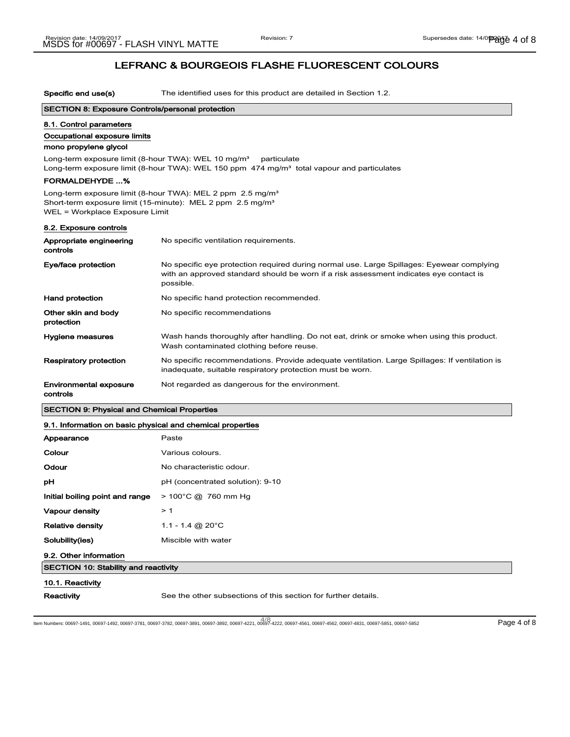| Specific end use(s)                                                                                                                                                                      | The identified uses for this product are detailed in Section 1.2.                                                                                                                                |  |
|------------------------------------------------------------------------------------------------------------------------------------------------------------------------------------------|--------------------------------------------------------------------------------------------------------------------------------------------------------------------------------------------------|--|
| <b>SECTION 8: Exposure Controls/personal protection</b>                                                                                                                                  |                                                                                                                                                                                                  |  |
| 8.1. Control parameters<br>Occupational exposure limits                                                                                                                                  |                                                                                                                                                                                                  |  |
| mono propylene glycol                                                                                                                                                                    |                                                                                                                                                                                                  |  |
| Long-term exposure limit (8-hour TWA): WEL 10 mg/m <sup>3</sup><br>particulate<br>Long-term exposure limit (8-hour TWA): WEL 150 ppm 474 mg/m <sup>3</sup> total vapour and particulates |                                                                                                                                                                                                  |  |
| <b>FORMALDEHYDE %</b>                                                                                                                                                                    |                                                                                                                                                                                                  |  |
| Long-term exposure limit (8-hour TWA): MEL 2 ppm 2.5 mg/m <sup>3</sup><br>Short-term exposure limit (15-minute): MEL 2 ppm 2.5 mg/m <sup>3</sup><br>WEL = Workplace Exposure Limit       |                                                                                                                                                                                                  |  |
| 8.2. Exposure controls                                                                                                                                                                   |                                                                                                                                                                                                  |  |
| Appropriate engineering<br>controls                                                                                                                                                      | No specific ventilation requirements.                                                                                                                                                            |  |
| Eye/face protection                                                                                                                                                                      | No specific eye protection required during normal use. Large Spillages: Eyewear complying<br>with an approved standard should be worn if a risk assessment indicates eye contact is<br>possible. |  |
| <b>Hand protection</b>                                                                                                                                                                   | No specific hand protection recommended.                                                                                                                                                         |  |
| Other skin and body<br>protection                                                                                                                                                        | No specific recommendations                                                                                                                                                                      |  |
| Hygiene measures                                                                                                                                                                         | Wash hands thoroughly after handling. Do not eat, drink or smoke when using this product.<br>Wash contaminated clothing before reuse.                                                            |  |
| <b>Respiratory protection</b>                                                                                                                                                            | No specific recommendations. Provide adequate ventilation. Large Spillages: If ventilation is<br>inadequate, suitable respiratory protection must be worn.                                       |  |
| <b>Environmental exposure</b><br>controls                                                                                                                                                | Not regarded as dangerous for the environment.                                                                                                                                                   |  |
| <b>SECTION 9: Physical and Chemical Properties</b>                                                                                                                                       |                                                                                                                                                                                                  |  |
| 9.1. Information on basic physical and chemical properties                                                                                                                               |                                                                                                                                                                                                  |  |
| Appearance                                                                                                                                                                               | Paste                                                                                                                                                                                            |  |
| Colour                                                                                                                                                                                   | Various colours.                                                                                                                                                                                 |  |
| Odour                                                                                                                                                                                    | No characteristic odour.                                                                                                                                                                         |  |
| рH                                                                                                                                                                                       | pH (concentrated solution): 9-10                                                                                                                                                                 |  |
| Initial boiling point and range                                                                                                                                                          | $> 100^{\circ}$ C @ 760 mm Hg                                                                                                                                                                    |  |
| Vapour density                                                                                                                                                                           | >1                                                                                                                                                                                               |  |

**Relative density** 1.1 - 1.4 @ 20°C Solubility(ies) Miscible with water

9.2. Other information SECTION 10: Stability and reactivity

# 10.1. Reactivity

Reactivity See the other subsections of this section for further details.

4/ 8 Item Numbers: 00697-1491, 00697-1492, 00697-3781, 00697-3782, 00697-3891, 00697-3892, 00697-4221, 00697-4222, 00697-4561, 00697-4562, 00697-4831, 00697-5851, 00697-5852 Page 4 of 8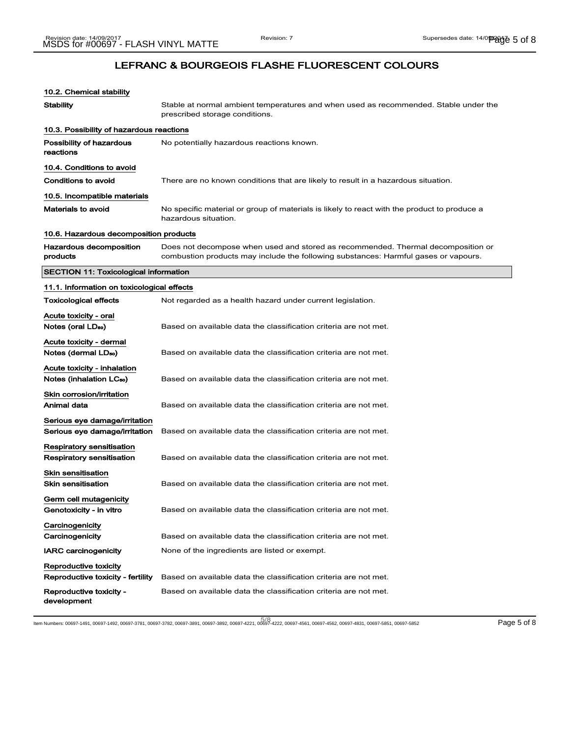| 10.2. Chemical stability                                            |                                                                                                                                                                         |
|---------------------------------------------------------------------|-------------------------------------------------------------------------------------------------------------------------------------------------------------------------|
| Stability                                                           | Stable at normal ambient temperatures and when used as recommended. Stable under the<br>prescribed storage conditions.                                                  |
| 10.3. Possibility of hazardous reactions                            |                                                                                                                                                                         |
| Possibility of hazardous<br>reactions                               | No potentially hazardous reactions known.                                                                                                                               |
| 10.4. Conditions to avoid                                           |                                                                                                                                                                         |
| <b>Conditions to avoid</b>                                          | There are no known conditions that are likely to result in a hazardous situation.                                                                                       |
| 10.5. Incompatible materials                                        |                                                                                                                                                                         |
| Materials to avoid                                                  | No specific material or group of materials is likely to react with the product to produce a<br>hazardous situation.                                                     |
| 10.6. Hazardous decomposition products                              |                                                                                                                                                                         |
| Hazardous decomposition<br>products                                 | Does not decompose when used and stored as recommended. Thermal decomposition or<br>combustion products may include the following substances: Harmful gases or vapours. |
| <b>SECTION 11: Toxicological information</b>                        |                                                                                                                                                                         |
| 11.1. Information on toxicological effects                          |                                                                                                                                                                         |
| Toxicological effects                                               | Not regarded as a health hazard under current legislation.                                                                                                              |
| Acute toxicity - oral<br>Notes (oral LD <sub>50</sub> )             | Based on available data the classification criteria are not met.                                                                                                        |
| Acute toxicity - dermal<br>Notes (dermal LDso)                      | Based on available data the classification criteria are not met.                                                                                                        |
| Acute toxicity - inhalation<br>Notes (inhalation LC <sub>50</sub> ) | Based on available data the classification criteria are not met.                                                                                                        |
| Skin corrosion/irritation<br>Animal data                            | Based on available data the classification criteria are not met.                                                                                                        |
| Serious eye damage/irritation<br>Serious eye damage/irritation      | Based on available data the classification criteria are not met.                                                                                                        |
| Respiratory sensitisation<br><b>Respiratory sensitisation</b>       | Based on available data the classification criteria are not met.                                                                                                        |
| Skin sensitisation<br>Skin sensitisation                            | Based on available data the classification criteria are not met.                                                                                                        |
| Germ cell mutagenicity<br>Genotoxicity - in vitro                   | Based on available data the classification criteria are not met.                                                                                                        |
| Carcinogenicity<br>Carcinogenicity                                  | Based on available data the classification criteria are not met.                                                                                                        |
| <b>IARC carcinogenicity</b>                                         | None of the ingredients are listed or exempt.                                                                                                                           |
| Reproductive toxicity<br>Reproductive toxicity - fertility          | Based on available data the classification criteria are not met.                                                                                                        |
| Reproductive toxicity -<br>development                              | Based on available data the classification criteria are not met.                                                                                                        |

5/ 8 Item Numbers: 00697-1491, 00697-1492, 00697-3781, 00697-3782, 00697-3891, 00697-3892, 00697-4221, 00697-4222, 00697-4561, 00697-4562, 00697-4831, 00697-5851, 00697-5852 Page 5 of 8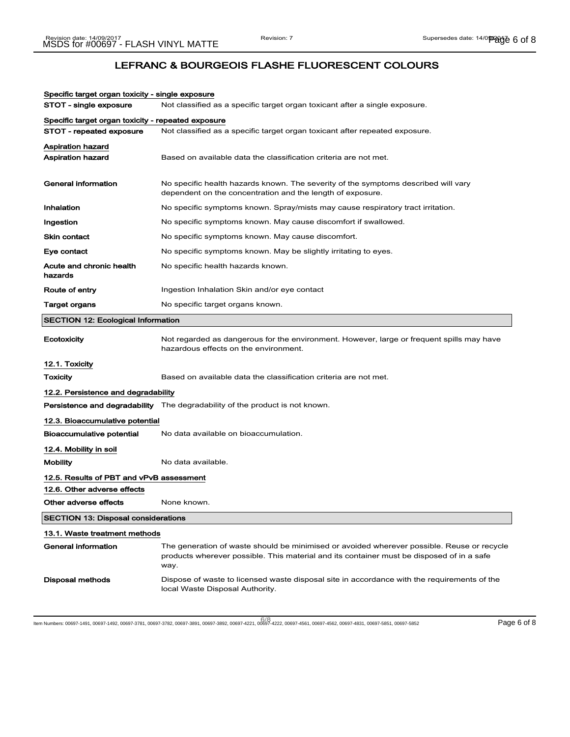| Specific target organ toxicity - single exposure   |                                                                                                                                                                                                 |
|----------------------------------------------------|-------------------------------------------------------------------------------------------------------------------------------------------------------------------------------------------------|
| STOT - single exposure                             | Not classified as a specific target organ toxicant after a single exposure.                                                                                                                     |
| Specific target organ toxicity - repeated exposure |                                                                                                                                                                                                 |
| STOT - repeated exposure                           | Not classified as a specific target organ toxicant after repeated exposure.                                                                                                                     |
| Aspiration hazard                                  |                                                                                                                                                                                                 |
| <b>Aspiration hazard</b>                           | Based on available data the classification criteria are not met.                                                                                                                                |
| General information                                | No specific health hazards known. The severity of the symptoms described will vary<br>dependent on the concentration and the length of exposure.                                                |
| Inhalation                                         | No specific symptoms known. Spray/mists may cause respiratory tract irritation.                                                                                                                 |
| Ingestion                                          | No specific symptoms known. May cause discomfort if swallowed.                                                                                                                                  |
| <b>Skin contact</b>                                | No specific symptoms known. May cause discomfort.                                                                                                                                               |
| Eye contact                                        | No specific symptoms known. May be slightly irritating to eyes.                                                                                                                                 |
| Acute and chronic health<br>hazards                | No specific health hazards known.                                                                                                                                                               |
| Route of entry                                     | Ingestion Inhalation Skin and/or eye contact                                                                                                                                                    |
| <b>Target organs</b>                               | No specific target organs known.                                                                                                                                                                |
| <b>SECTION 12: Ecological Information</b>          |                                                                                                                                                                                                 |
| Ecotoxicity                                        | Not regarded as dangerous for the environment. However, large or frequent spills may have<br>hazardous effects on the environment.                                                              |
| 12.1. Toxicity                                     |                                                                                                                                                                                                 |
| Toxicity                                           | Based on available data the classification criteria are not met.                                                                                                                                |
| 12.2. Persistence and degradability                |                                                                                                                                                                                                 |
|                                                    | Persistence and degradability The degradability of the product is not known.                                                                                                                    |
| 12.3. Bioaccumulative potential                    |                                                                                                                                                                                                 |
| Bioaccumulative potential                          | No data available on bioaccumulation.                                                                                                                                                           |
| 12.4. Mobility in soil                             |                                                                                                                                                                                                 |
| <b>Mobility</b>                                    | No data available.                                                                                                                                                                              |
| 12.5. Results of PBT and vPvB assessment           |                                                                                                                                                                                                 |
| 12.6. Other adverse effects                        |                                                                                                                                                                                                 |
| Other adverse effects                              | None known.                                                                                                                                                                                     |
| <b>SECTION 13: Disposal considerations</b>         |                                                                                                                                                                                                 |
| 13.1. Waste treatment methods                      |                                                                                                                                                                                                 |
| General information                                | The generation of waste should be minimised or avoided wherever possible. Reuse or recycle<br>products wherever possible. This material and its container must be disposed of in a safe<br>way. |
| Disposal methods                                   | Dispose of waste to licensed waste disposal site in accordance with the requirements of the<br>local Waste Disposal Authority.                                                                  |

6/ 8 Item Numbers: 00697-1491, 00697-1492, 00697-3781, 00697-3782, 00697-3891, 00697-3892, 00697-4221, 00697-4222, 00697-4561, 00697-4562, 00697-4831, 00697-5851, 00697-5852 Page 6 of 8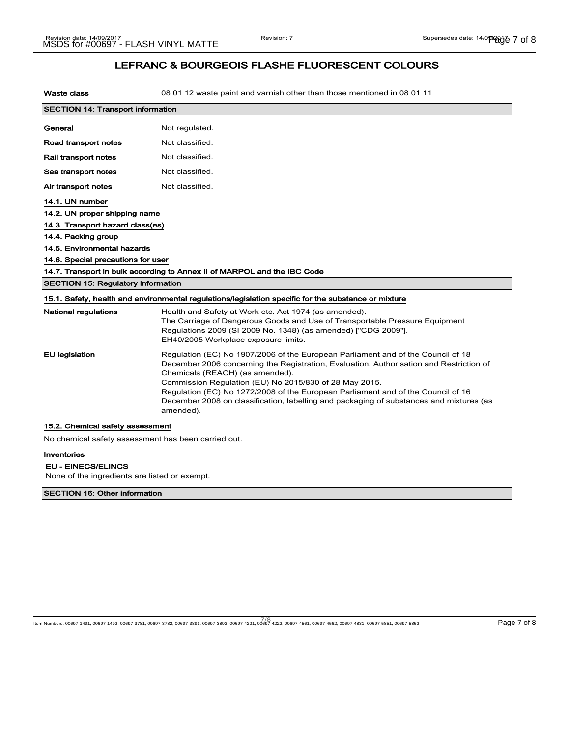| <b>Waste class</b>                                                                                   | 08 01 12 waste paint and varnish other than those mentioned in 08 01 11                                                                                                                                                                                                                                                                                                                                                                                              |
|------------------------------------------------------------------------------------------------------|----------------------------------------------------------------------------------------------------------------------------------------------------------------------------------------------------------------------------------------------------------------------------------------------------------------------------------------------------------------------------------------------------------------------------------------------------------------------|
| <b>SECTION 14: Transport information</b>                                                             |                                                                                                                                                                                                                                                                                                                                                                                                                                                                      |
| General                                                                                              | Not regulated.                                                                                                                                                                                                                                                                                                                                                                                                                                                       |
| Road transport notes                                                                                 | Not classified.                                                                                                                                                                                                                                                                                                                                                                                                                                                      |
| Rail transport notes                                                                                 | Not classified.                                                                                                                                                                                                                                                                                                                                                                                                                                                      |
|                                                                                                      |                                                                                                                                                                                                                                                                                                                                                                                                                                                                      |
| Sea transport notes                                                                                  | Not classified.                                                                                                                                                                                                                                                                                                                                                                                                                                                      |
| Air transport notes                                                                                  | Not classified.                                                                                                                                                                                                                                                                                                                                                                                                                                                      |
| 14.1. UN number                                                                                      |                                                                                                                                                                                                                                                                                                                                                                                                                                                                      |
| 14.2. UN proper shipping name                                                                        |                                                                                                                                                                                                                                                                                                                                                                                                                                                                      |
| 14.3. Transport hazard class(es)                                                                     |                                                                                                                                                                                                                                                                                                                                                                                                                                                                      |
| 14.4. Packing group<br>14.5. Environmental hazards                                                   |                                                                                                                                                                                                                                                                                                                                                                                                                                                                      |
| 14.6. Special precautions for user                                                                   |                                                                                                                                                                                                                                                                                                                                                                                                                                                                      |
|                                                                                                      | 14.7. Transport in bulk according to Annex II of MARPOL and the IBC Code                                                                                                                                                                                                                                                                                                                                                                                             |
| <b>SECTION 15: Regulatory information</b>                                                            |                                                                                                                                                                                                                                                                                                                                                                                                                                                                      |
| 15.1. Safety, health and environmental regulations/legislation specific for the substance or mixture |                                                                                                                                                                                                                                                                                                                                                                                                                                                                      |
| <b>National regulations</b>                                                                          | Health and Safety at Work etc. Act 1974 (as amended).<br>The Carriage of Dangerous Goods and Use of Transportable Pressure Equipment<br>Regulations 2009 (SI 2009 No. 1348) (as amended) ["CDG 2009"].<br>EH40/2005 Workplace exposure limits.                                                                                                                                                                                                                       |
| <b>EU</b> legislation                                                                                | Regulation (EC) No 1907/2006 of the European Parliament and of the Council of 18<br>December 2006 concerning the Registration, Evaluation, Authorisation and Restriction of<br>Chemicals (REACH) (as amended).<br>Commission Regulation (EU) No 2015/830 of 28 May 2015.<br>Regulation (EC) No 1272/2008 of the European Parliament and of the Council of 16<br>December 2008 on classification, labelling and packaging of substances and mixtures (as<br>amended). |
| 15.2. Chemical safety assessment                                                                     |                                                                                                                                                                                                                                                                                                                                                                                                                                                                      |
| No chemical safety assessment has been carried out.                                                  |                                                                                                                                                                                                                                                                                                                                                                                                                                                                      |
| Inventories                                                                                          |                                                                                                                                                                                                                                                                                                                                                                                                                                                                      |

#### EU - EINECS/ELINCS

None of the ingredients are listed or exempt.

#### SECTION 16: Other information